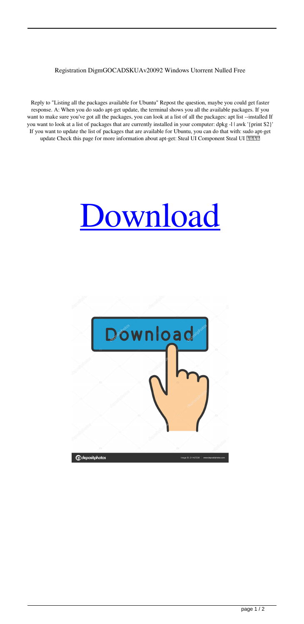## Registration DigmGOCADSKUAv20092 Windows Utorrent Nulled Free

Reply to "Listing all the packages available for Ubuntu" Repost the question, maybe you could get faster response. A: When you do sudo apt-get update, the terminal shows you all the available packages. If you want to make sure you've got all the packages, you can look at a list of all the packages: apt list --installed If you want to look at a list of packages that are currently installed in your computer: dpkg -l | awk '{print \$2}' If you want to update the list of packages that are available for Ubuntu, you can do that with: sudo apt-get update Check this page for more information about apt-get: Steal UI Component Steal UI **2222**